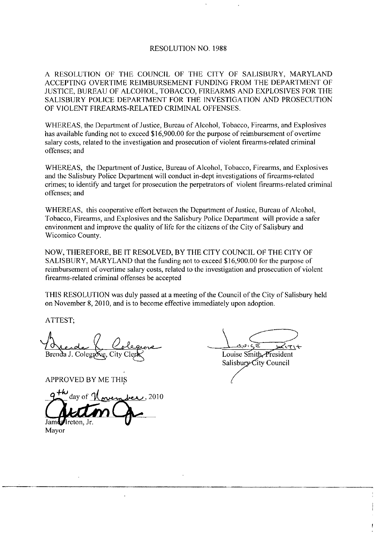## RESOLUTION NO 1988

A RESOLUTION OF THE COUNCIL OF THE CITY OF SALISBURY, MARYLAND ACCEPTING OVERTIME REIMBURSEMENT FUNDING FROM THE DEPARTMENT OF JUSTICE, BUREAU OF ALCOHOL, TOBACCO, FIREARMS AND EXPLOSIVES FOR THE SALISBURY POLICE DEPARTMENT FOR THE INVESTIGATION AND PROSECUTION OF VIOLENT FIREARMS-RELATED CRIMINAL OFFENSES.

WHEREAS, the Department of Justice, Bureau of Alcohol, Tobacco, Firearms, and Explosives WHEREAS, the Department of Justice, Bureau of Alcohol, Tobacco, Firearms, and Explosive<br>has available funding not to exceed \$16,900.00 for the purpose of reimbursement of overtime<br>salary costs, related to the investigation has available funding not to exceed \$16,900.00 for the purpose of reimbursement of overtime salary costs, related to the investigation and prosecution of violent firearms-related criminal offenses; and

WHEREAS, the Department of Justice, Bureau of Alcohol, Tobacco, Firearms, and Explosives and the Salisbury Police Department will conduct in-dept investigations of firearms-related crimes; to identify and target for prosecution the perpetrators of violent firearms-related criminal offenses; and

WHEREAS, this cooperative effort between the Department of Justice, Bureau of Alcohol, Tobacco, Firearms, and Explosives and the Salisbury Police Department will provide a safer environment and improve the quality of life for the citizens of the City of Salisbury and Wicomico County

NOW, THEREFORE, BE IT RESOLVED, BY THE CITY COUNCIL OF THE CITY OF SALISBURY, MARYLAND that the funding not to exceed \$16,900.00 for the purpose of reimbursement of overtime salary costs, related to the investigation and prosecution of violent firearms-related criminal offenses be accepted

THIS RESOLUTION was duly passed at a meeting of the Council of the City of Salisbury held on November 8, 2010, and is to become effective immediately upon adoption.

ATTEST

Brenda J. Colegrove, City Cle

APPROVED BY ME THIS

2010 lreton. Jr.

the Council of<br>diately upon a<br> $\frac{q}{\sqrt{q}}$ <br>Louise Sf<br>Salisbury Louise Smith President

Salisbury City Council

Mayor